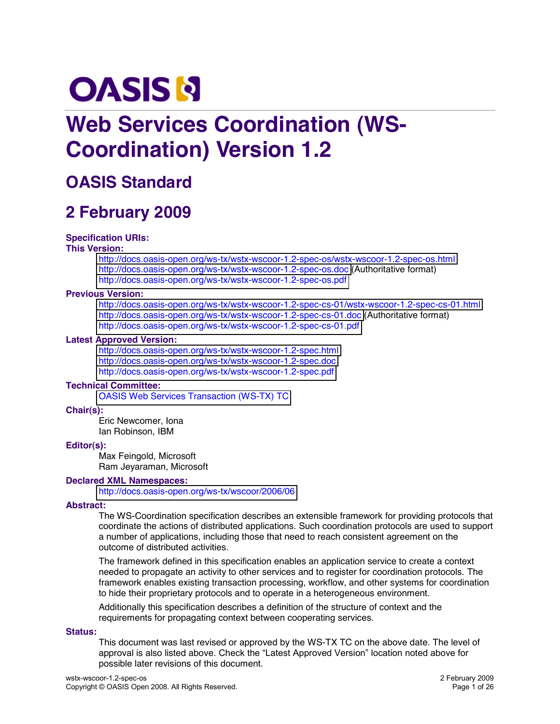# **OASIS N**

# **Web Services Coordination (WS-Coordination) Version 1.2**

# **OASIS Standard**

# **2 February 2009**

#### **Specification URIs:**

#### **This Version:**

<http://docs.oasis-open.org/ws-tx/wstx-wscoor-1.2-spec-os/wstx-wscoor-1.2-spec-os.html> <http://docs.oasis-open.org/ws-tx/wstx-wscoor-1.2-spec-os.doc> (Authoritative format) <http://docs.oasis-open.org/ws-tx/wstx-wscoor-1.2-spec-os.pdf>

#### **Previous Version:**

<http://docs.oasis-open.org/ws-tx/wstx-wscoor-1.2-spec-cs-01/wstx-wscoor-1.2-spec-cs-01.html> <http://docs.oasis-open.org/ws-tx/wstx-wscoor-1.2-spec-cs-01.doc> (Authoritative format) <http://docs.oasis-open.org/ws-tx/wstx-wscoor-1.2-spec-cs-01.pdf>

#### **Latest Approved Version:**

<http://docs.oasis-open.org/ws-tx/wstx-wscoor-1.2-spec.html> <http://docs.oasis-open.org/ws-tx/wstx-wscoor-1.2-spec.doc> <http://docs.oasis-open.org/ws-tx/wstx-wscoor-1.2-spec.pdf>

#### **Technical Committee:**

[OASIS Web Services Transaction \(WS-TX\)](http://www.oasis-open.org/committees/ws-tx/) TC

#### **Chair(s):**

Eric Newcomer, Iona Ian Robinson, IBM

#### **Editor(s):**

Max Feingold, Microsoft Ram Jeyaraman, Microsoft

#### **Declared XML Namespaces:**

<http://docs.oasis-open.org/ws-tx/wscoor/2006/06>

#### **Abstract:**

The WS-Coordination specification describes an extensible framework for providing protocols that coordinate the actions of distributed applications. Such coordination protocols are used to support a number of applications, including those that need to reach consistent agreement on the outcome of distributed activities.

The framework defined in this specification enables an application service to create a context needed to propagate an activity to other services and to register for coordination protocols. The framework enables existing transaction processing, workflow, and other systems for coordination to hide their proprietary protocols and to operate in a heterogeneous environment.

Additionally this specification describes a definition of the structure of context and the requirements for propagating context between cooperating services.

#### **Status:**

This document was last revised or approved by the WS-TX TC on the above date. The level of approval is also listed above. Check the "Latest Approved Version" location noted above for possible later revisions of this document.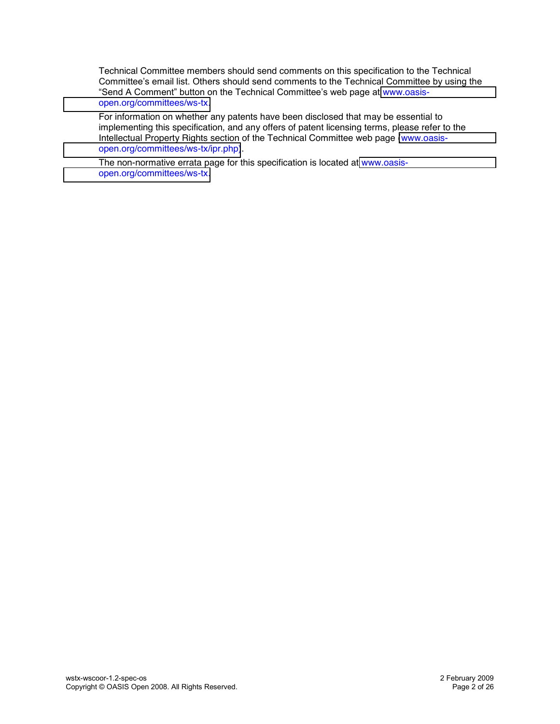Technical Committee members should send comments on this specification to the Technical Committee's email list. Others should send comments to the Technical Committee by using the "Send A Comment" button on the Technical Committee's web page at [www.oasis](http://www.oasis-open.org/committees/ws-tx)[open.org/committees/ws-tx.](http://www.oasis-open.org/committees/ws-tx)

For information on whether any patents have been disclosed that may be essential to implementing this specification, and any offers of patent licensing terms, please refer to the Intellectual Property Rights section of the Technical Committee web page [\(www.oasis](http://www.oasis-open.org/committees/ws-tx/ipr.php)[open.org/committees/ws-tx/ipr.php\)](http://www.oasis-open.org/committees/ws-tx/ipr.php).

The non-normative errata page for this specification is located at [www.oasis](http://www.oasis-open.org/committees/ws-tx)[open.org/committees/ws-tx.](http://www.oasis-open.org/committees/ws-tx)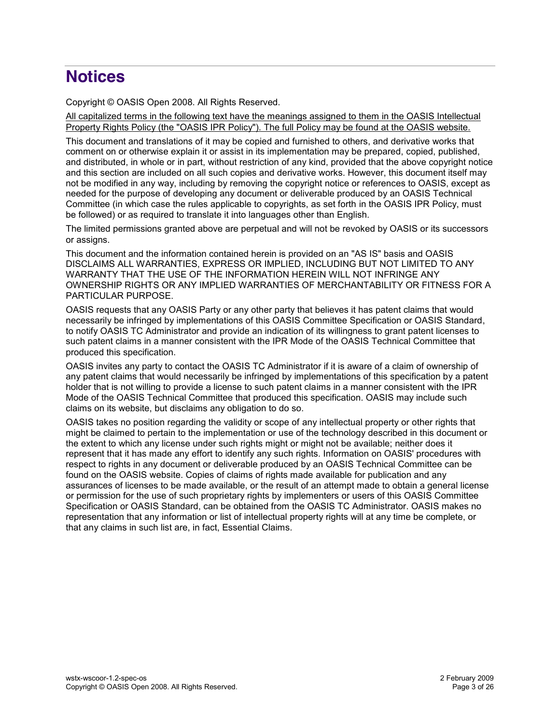# **Notices**

Copyright © OASIS Open 2008. All Rights Reserved.

All capitalized terms in the following text have the meanings assigned to them in the OASIS Intellectual Property Rights Policy (the "OASIS IPR Policy"). The full Policy may be found at the OASIS website.

This document and translations of it may be copied and furnished to others, and derivative works that comment on or otherwise explain it or assist in its implementation may be prepared, copied, published, and distributed, in whole or in part, without restriction of any kind, provided that the above copyright notice and this section are included on all such copies and derivative works. However, this document itself may not be modified in any way, including by removing the copyright notice or references to OASIS, except as needed for the purpose of developing any document or deliverable produced by an OASIS Technical Committee (in which case the rules applicable to copyrights, as set forth in the OASIS IPR Policy, must be followed) or as required to translate it into languages other than English.

The limited permissions granted above are perpetual and will not be revoked by OASIS or its successors or assigns.

This document and the information contained herein is provided on an "AS IS" basis and OASIS DISCLAIMS ALL WARRANTIES, EXPRESS OR IMPLIED, INCLUDING BUT NOT LIMITED TO ANY WARRANTY THAT THE USE OF THE INFORMATION HEREIN WILL NOT INFRINGE ANY OWNERSHIP RIGHTS OR ANY IMPLIED WARRANTIES OF MERCHANTABILITY OR FITNESS FOR A PARTICULAR PURPOSE.

OASIS requests that any OASIS Party or any other party that believes it has patent claims that would necessarily be infringed by implementations of this OASIS Committee Specification or OASIS Standard, to notify OASIS TC Administrator and provide an indication of its willingness to grant patent licenses to such patent claims in a manner consistent with the IPR Mode of the OASIS Technical Committee that produced this specification.

OASIS invites any party to contact the OASIS TC Administrator if it is aware of a claim of ownership of any patent claims that would necessarily be infringed by implementations of this specification by a patent holder that is not willing to provide a license to such patent claims in a manner consistent with the IPR Mode of the OASIS Technical Committee that produced this specification. OASIS may include such claims on its website, but disclaims any obligation to do so.

OASIS takes no position regarding the validity or scope of any intellectual property or other rights that might be claimed to pertain to the implementation or use of the technology described in this document or the extent to which any license under such rights might or might not be available; neither does it represent that it has made any effort to identify any such rights. Information on OASIS' procedures with respect to rights in any document or deliverable produced by an OASIS Technical Committee can be found on the OASIS website. Copies of claims of rights made available for publication and any assurances of licenses to be made available, or the result of an attempt made to obtain a general license or permission for the use of such proprietary rights by implementers or users of this OASIS Committee Specification or OASIS Standard, can be obtained from the OASIS TC Administrator. OASIS makes no representation that any information or list of intellectual property rights will at any time be complete, or that any claims in such list are, in fact, Essential Claims.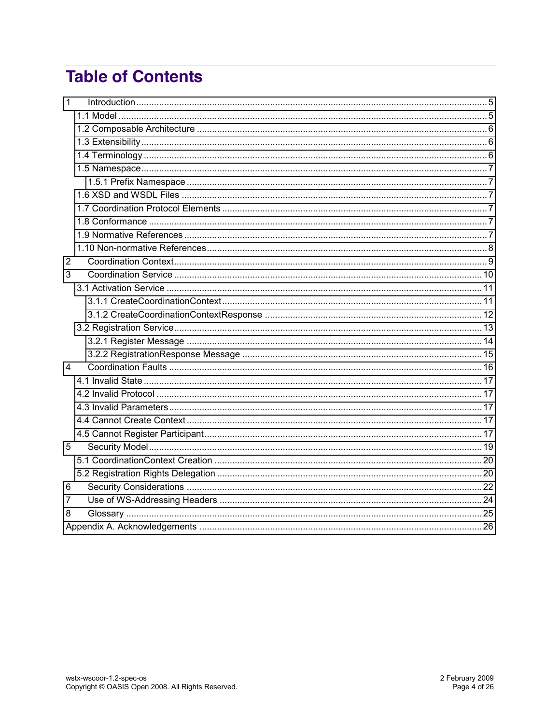# **Table of Contents**

| 1 |  |  |  |
|---|--|--|--|
|   |  |  |  |
|   |  |  |  |
|   |  |  |  |
|   |  |  |  |
|   |  |  |  |
|   |  |  |  |
|   |  |  |  |
|   |  |  |  |
|   |  |  |  |
|   |  |  |  |
|   |  |  |  |
| 2 |  |  |  |
| 3 |  |  |  |
|   |  |  |  |
|   |  |  |  |
|   |  |  |  |
|   |  |  |  |
|   |  |  |  |
|   |  |  |  |
| 4 |  |  |  |
|   |  |  |  |
|   |  |  |  |
|   |  |  |  |
|   |  |  |  |
|   |  |  |  |
| 5 |  |  |  |
|   |  |  |  |
|   |  |  |  |
| 6 |  |  |  |
| 7 |  |  |  |
| 8 |  |  |  |
|   |  |  |  |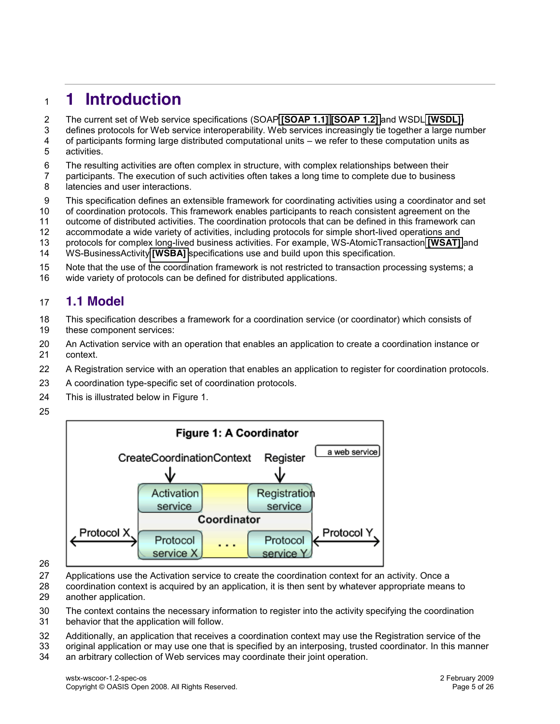# <span id="page-4-0"></span>**1 Introduction**

- The current set of Web service specifications (SOAP **[\[SOAP](#page-6-6) 1.1] [\[SOAP](#page-7-1) 1.2]** and WSDL **[\[WSDL\]](#page-7-2)**)
- defines protocols for Web service interoperability. Web services increasingly tie together a large number
- 4 of participants forming large distributed computational units we refer to these computation units as activities. activities.
- The resulting activities are often complex in structure, with complex relationships between their
- participants. The execution of such activities often takes a long time to complete due to business 8 latencies and user interactions.
- This specification defines an extensible framework for coordinating activities using a coordinator and set
- of coordination protocols. This framework enables participants to reach consistent agreement on the
- outcome of distributed activities. The coordination protocols that can be defined in this framework can
- accommodate a wide variety of activities, including protocols for simple short-lived operations and
- protocols for complex long-lived business activities. For example, WS-AtomicTransaction **[\[WSAT\]](#page-7-3)** and
- WS-BusinessActivity **[\[WSBA\]](#page-7-4)** specifications use and build upon this specification.
- Note that the use of the coordination framework is not restricted to transaction processing systems; a
- wide variety of protocols can be defined for distributed applications.

### <span id="page-4-1"></span>**1.1 Model**

- This specification describes a framework for a coordination service (or coordinator) which consists of these component services:
- An Activation service with an operation that enables an application to create a coordination instance or context.
- A Registration service with an operation that enables an application to register for coordination protocols.
- A coordination type-specific set of coordination protocols.
- This is illustrated below in Figure 1.
- 



- Applications use the Activation service to create the coordination context for an activity. Once a
- coordination context is acquired by an application, it is then sent by whatever appropriate means to another application.
- The context contains the necessary information to register into the activity specifying the coordination
- behavior that the application will follow.
- Additionally, an application that receives a coordination context may use the Registration service of the
- original application or may use one that is specified by an interposing, trusted coordinator. In this manner an arbitrary collection of Web services may coordinate their joint operation.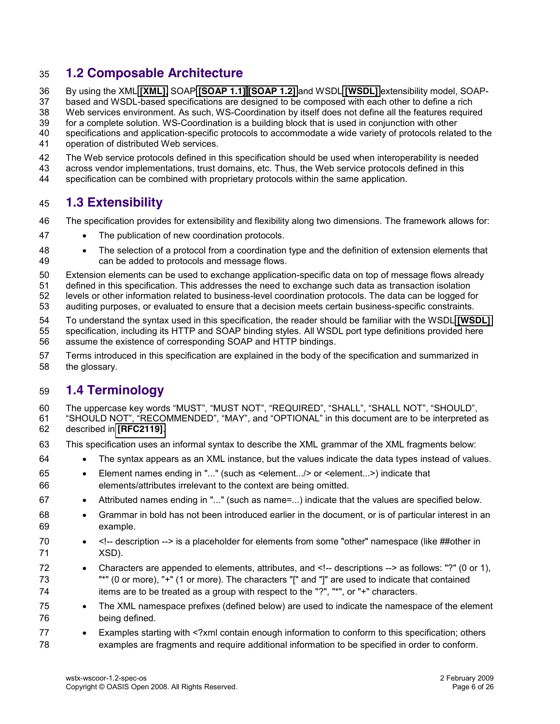### <span id="page-5-0"></span>**1.2 Composable Architecture**

By using the XML **[\[XML\]](#page-7-5)**, SOAP **[\[SOAP 1.1\]](#page-6-6) [\[SOAP](#page-7-1) 1.2]** and WSDL **[\[WSDL\]](#page-7-2)** extensibility model, SOAP-

based and WSDL-based specifications are designed to be composed with each other to define a rich

Web services environment. As such, WS-Coordination by itself does not define all the features required

for a complete solution. WS-Coordination is a building block that is used in conjunction with other

- specifications and application-specific protocols to accommodate a wide variety of protocols related to the operation of distributed Web services.
- The Web service protocols defined in this specification should be used when interoperability is needed
- across vendor implementations, trust domains, etc. Thus, the Web service protocols defined in this
- specification can be combined with proprietary protocols within the same application.

### <span id="page-5-1"></span>**1.3 Extensibility**

- The specification provides for extensibility and flexibility along two dimensions. The framework allows for:
- 47 The publication of new coordination protocols.
- x The selection of a protocol from a coordination type and the definition of extension elements that can be added to protocols and message flows.
- Extension elements can be used to exchange application-specific data on top of message flows already
- defined in this specification. This addresses the need to exchange such data as transaction isolation levels or other information related to business-level coordination protocols. The data can be logged for
- auditing purposes, or evaluated to ensure that a decision meets certain business-specific constraints.
- To understand the syntax used in this specification, the reader should be familiar with the WSDL **[\[WSDL\]](#page-7-2)** specification, including its HTTP and SOAP binding styles. All WSDL port type definitions provided here assume the existence of corresponding SOAP and HTTP bindings.
- Terms introduced in this specification are explained in the body of the specification and summarized in
- the glossary.

### <span id="page-5-2"></span>**1.4 Terminology**

- 60 The uppercase key words "MUST", "MUST NOT", "REQUIRED", "SHALL", "SHALL NOT", "SHOULD", 61 "SHOULD NOT", "RECOMMENDED", "MAY", and "OPTIONAL" in this document are to be interpreted as described in **[\[RFC2119\]](#page-6-7)**.
- This specification uses an informal syntax to describe the XML grammar of the XML fragments below:
- 64 The syntax appears as an XML instance, but the values indicate the data types instead of values.
- x Element names ending in "..." (such as <element.../> or <element...>) indicate that elements/attributes irrelevant to the context are being omitted.
- **b** Attributed names ending in "..." (such as name=...) indicate that the values are specified below.
- 68 GREAU Grammar in bold has not been introduced earlier in the document, or is of particular interest in an example.
- 70 <!-- description --> is a placeholder for elements from some "other" namespace (like ##other in XSD).
- 72 Characters are appended to elements, attributes, and <!-- descriptions --> as follows: "?" (0 or 1), "\*" (0 or more), "+" (1 or more). The characters "[" and "]" are used to indicate that contained 74 items are to be treated as a group with respect to the "?", "\*", or "+" characters.
- 75 The XML namespace prefixes (defined below) are used to indicate the namespace of the element being defined.
- 77 Examples starting with <?xml contain enough information to conform to this specification; others examples are fragments and require additional information to be specified in order to conform.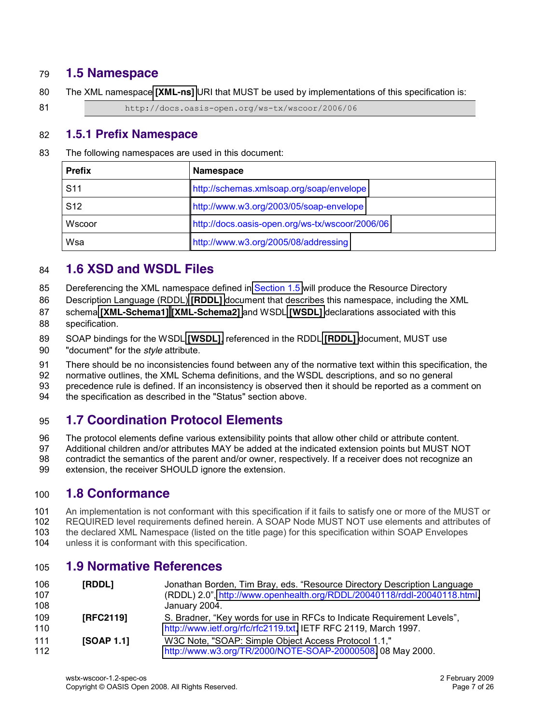### <span id="page-6-0"></span>**1.5 Namespace**

The XML namespace **[\[XML-ns\]](#page-7-6)** URI that MUST be used by implementations of this specification is:

81 http://docs.oasis-open.org/ws-tx/wscoor/2006/06

### <span id="page-6-1"></span>**1.5.1 Prefix Namespace**

The following namespaces are used in this document:

| <b>Prefix</b>   | <b>Namespace</b>                                |
|-----------------|-------------------------------------------------|
| S <sub>11</sub> | http://schemas.xmlsoap.org/soap/envelope        |
| S <sub>12</sub> | http://www.w3.org/2003/05/soap-envelope         |
| Wscoor          | http://docs.oasis-open.org/ws-tx/wscoor/2006/06 |
| Wsa             | http://www.w3.org/2005/08/addressing            |

### <span id="page-6-2"></span>**1.6 XSD and WSDL Files**

- 85 Dereferencing the XML namespace defined in [Section 1.5](#page-6-0) will produce the Resource Directory
- Description Language (RDDL) **[\[RDDL\]](#page-6-8)** document that describes this namespace, including the XML
- schema **[\[XML-Schema1\]](#page-7-7) [\[XML-Schema2\]](#page-7-8)** and WSDL **[\[WSDL\]](#page-7-2)** declarations associated with this
- specification.
- SOAP bindings for the WSDL **[\[WSDL\]](#page-7-2)**, referenced in the RDDL **[\[RDDL\]](#page-6-8)** document, MUST use
- "document" for the *style* attribute.
- There should be no inconsistencies found between any of the normative text within this specification, the
- normative outlines, the XML Schema definitions, and the WSDL descriptions, and so no general
- precedence rule is defined. If an inconsistency is observed then it should be reported as a comment on
- the specification as described in the "Status" section above.

### <span id="page-6-3"></span>**1.7 Coordination Protocol Elements**

- The protocol elements define various extensibility points that allow other child or attribute content.
- Additional children and/or attributes MAY be added at the indicated extension points but MUST NOT
- contradict the semantics of the parent and/or owner, respectively. If a receiver does not recognize an
- <span id="page-6-4"></span>extension, the receiver SHOULD ignore the extension.

### **1.8 Conformance**

- An implementation is not conformant with this specification if it fails to satisfy one or more of the MUST or REQUIRED level requirements defined herein. A SOAP Node MUST NOT use elements and attributes of the declared XML Namespace (listed on the title page) for this specification within SOAP Envelopes
- unless it is conformant with this specification.

### <span id="page-6-5"></span>**1.9 Normative References**

<span id="page-6-8"></span><span id="page-6-7"></span><span id="page-6-6"></span>

| 106 | [RDDL]     | Jonathan Borden, Tim Bray, eds. "Resource Directory Description Language |  |
|-----|------------|--------------------------------------------------------------------------|--|
| 107 |            | (RDDL) 2.0", http://www.openhealth.org/RDDL/20040118/rddl-20040118.html, |  |
| 108 |            | January 2004.                                                            |  |
| 109 | [RFC2119]  | S. Bradner, "Key words for use in RFCs to Indicate Requirement Levels",  |  |
| 110 |            | http://www.ietf.org/rfc/rfc2119.txt, IETF RFC 2119, March 1997.          |  |
| 111 | [SOAP 1.1] | W3C Note, "SOAP: Simple Object Access Protocol 1.1,"                     |  |
| 112 |            | http://www.w3.org/TR/2000/NOTE-SOAP-20000508, 08 May 2000.               |  |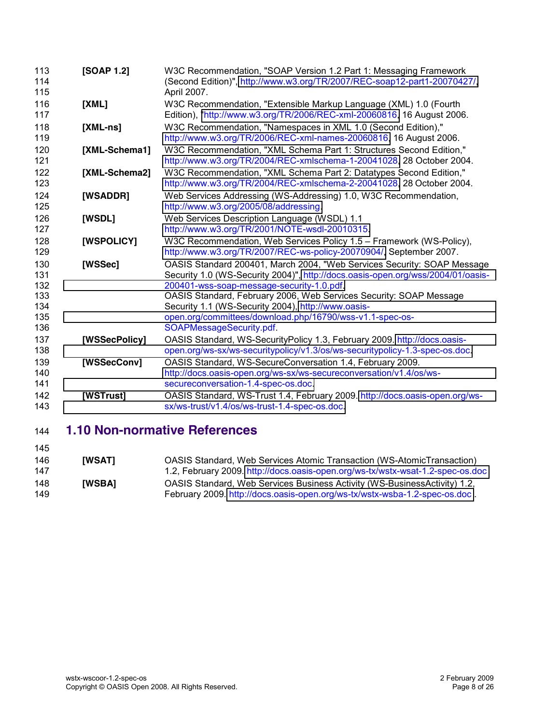<span id="page-7-12"></span><span id="page-7-9"></span><span id="page-7-8"></span><span id="page-7-7"></span><span id="page-7-6"></span><span id="page-7-5"></span><span id="page-7-2"></span><span id="page-7-1"></span>

| 113<br>114<br>115                             | <b>[SOAP 1.2]</b> | W3C Recommendation, "SOAP Version 1.2 Part 1: Messaging Framework<br>(Second Edition)", http://www.w3.org/TR/2007/REC-soap12-part1-20070427/,<br>April 2007.                                                                                                                                                                                                                                                                |
|-----------------------------------------------|-------------------|-----------------------------------------------------------------------------------------------------------------------------------------------------------------------------------------------------------------------------------------------------------------------------------------------------------------------------------------------------------------------------------------------------------------------------|
| 116<br>117                                    | [XML]             | W3C Recommendation, "Extensible Markup Language (XML) 1.0 (Fourth<br>Edition), "http://www.w3.org/TR/2006/REC-xml-20060816, 16 August 2006.                                                                                                                                                                                                                                                                                 |
| 118<br>119                                    | $[XML-ns]$        | W3C Recommendation, "Namespaces in XML 1.0 (Second Edition),"<br>http://www.w3.org/TR/2006/REC-xml-names-20060816, 16 August 2006.                                                                                                                                                                                                                                                                                          |
| 120<br>121                                    | [XML-Schema1]     | W3C Recommendation, "XML Schema Part 1: Structures Second Edition,"<br>http://www.w3.org/TR/2004/REC-xmlschema-1-20041028, 28 October 2004.                                                                                                                                                                                                                                                                                 |
| 122<br>123                                    | [XML-Schema2]     | W3C Recommendation, "XML Schema Part 2: Datatypes Second Edition,"<br>http://www.w3.org/TR/2004/REC-xmlschema-2-20041028, 28 October 2004.                                                                                                                                                                                                                                                                                  |
| 124<br>125                                    | [WSADDR]          | Web Services Addressing (WS-Addressing) 1.0, W3C Recommendation,<br>http://www.w3.org/2005/08/addressing.                                                                                                                                                                                                                                                                                                                   |
| 126<br>127                                    | [WSDL]            | Web Services Description Language (WSDL) 1.1<br>http://www.w3.org/TR/2001/NOTE-wsdl-20010315.                                                                                                                                                                                                                                                                                                                               |
| 128<br>129                                    | [WSPOLICY]        | W3C Recommendation, Web Services Policy 1.5 - Framework (WS-Policy),<br>http://www.w3.org/TR/2007/REC-ws-policy-20070904/, September 2007.                                                                                                                                                                                                                                                                                  |
| 130<br>131<br>132<br>133<br>134<br>135<br>136 | [WSSec]           | OASIS Standard 200401, March 2004, "Web Services Security: SOAP Message<br>Security 1.0 (WS-Security 2004)", http://docs.oasis-open.org/wss/2004/01/oasis-<br>200401-wss-soap-message-security-1.0.pdf.<br>OASIS Standard, February 2006, Web Services Security: SOAP Message<br>Security 1.1 (WS-Security 2004), http://www.oasis-<br>open.org/committees/download.php/16790/wss-v1.1-spec-os-<br>SOAPMessageSecurity.pdf. |
| 137<br>138                                    | [WSSecPolicy]     | OASIS Standard, WS-SecurityPolicy 1.3, February 2009. http://docs.oasis-<br>open.org/ws-sx/ws-securitypolicy/v1.3/os/ws-securitypolicy-1.3-spec-os.doc.                                                                                                                                                                                                                                                                     |
| 139<br>140<br>141                             | [WSSecConv]       | OASIS Standard, WS-SecureConversation 1.4, February 2009.<br>http://docs.oasis-open.org/ws-sx/ws-secureconversation/v1.4/os/ws-<br>secureconversation-1.4-spec-os.doc.                                                                                                                                                                                                                                                      |
| 142<br>143                                    | [WSTrust]         | OASIS Standard, WS-Trust 1.4, February 2009. http://docs.oasis-open.org/ws-<br>sx/ws-trust/v1.4/os/ws-trust-1.4-spec-os.doc.                                                                                                                                                                                                                                                                                                |

### <span id="page-7-14"></span><span id="page-7-13"></span><span id="page-7-11"></span><span id="page-7-10"></span><span id="page-7-0"></span>**1.10 Non-normative References**

<span id="page-7-4"></span><span id="page-7-3"></span>

| 146 | <b>IWSATI</b> | OASIS Standard, Web Services Atomic Transaction (WS-AtomicTransaction)         |
|-----|---------------|--------------------------------------------------------------------------------|
| 147 |               | 1.2, February 2009. http://docs.oasis-open.org/ws-tx/wstx-wsat-1.2-spec-os.doc |
| 148 | <b>IWSBAI</b> | OASIS Standard, Web Services Business Activity (WS-BusinessActivity) 1.2,      |
| 149 |               | February 2009. http://docs.oasis-open.org/ws-tx/wstx-wsba-1.2-spec-os.doc.     |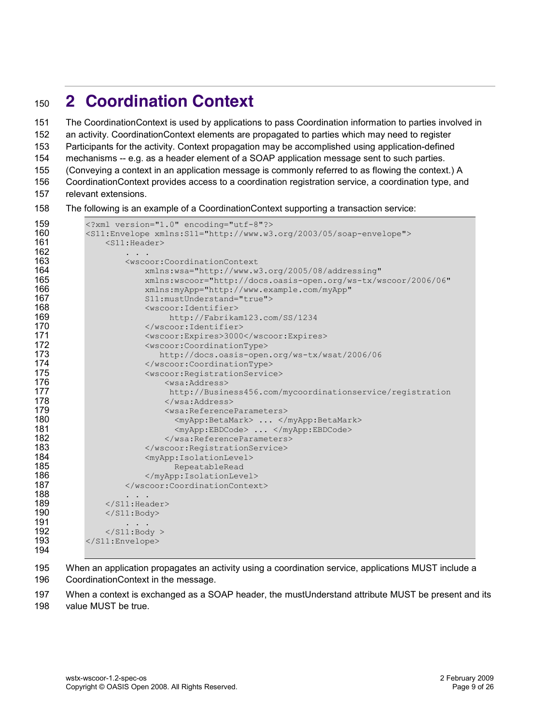# <span id="page-8-0"></span>**2 Coordination Context**

 The CoordinationContext is used by applications to pass Coordination information to parties involved in an activity. CoordinationContext elements are propagated to parties which may need to register

Participants for the activity. Context propagation may be accomplished using application-defined

mechanisms -- e.g. as a header element of a SOAP application message sent to such parties.

(Conveying a context in an application message is commonly referred to as flowing the context.) A

CoordinationContext provides access to a coordination registration service, a coordination type, and

- relevant extensions.
- The following is an example of a CoordinationContext supporting a transaction service:

```
159 <?xml version="1.0" encoding="utf-8"?><br>160 < < 11:Envelope xmlns: S11="http://www.w3
160 <s11:Envelope xmlns:S11="http://www.w3.org/2003/05/soap-envelope"><br>161 <s11:Header>
161 <s11:Header><br>162 ...
162 !!!!!!! .!.!.
163 !!!!!!! <wscoor:CoordinationContext!
164 !!!!!!!!!!! xmlns:wsa="http://www.w3.org/2005/08/addressing"
                      xmlns:wscoor="http://docs.oasis-open.org/ws-tx/wscoor/2006/06"
166 !!!!!!!!!!! xmlns:myApp="http://www.example.com/myApp"
167 !!!!!!!!!!!!S11:mustUnderstand="true">
168 !!!!!!!!!!! <wscoor:Identifier>
169 !!!!!!!!!!!!!!!!!http://Fabrikam123.com/SS/1234
170 !!!!!!!!!!!!</wscoor:Identifier>
171 !!!!!!!!!!! <wscoor:Expires>3000</wscoor:Expires>
                      <wscoor:CoordinationType>
173 !!!!!!!!!!!!!!!http://docs.oasis.open.org/ws.tx/wsat/2006/06
174 !!!!!!!!!!! </wscoor:CoordinationType>
175 !!!!!!!!! !!<wscoor:RegistrationService>
176 !!!!!!!!!!!!!!! <wsa:Address>
177 !!!!!!!!!!!!!!!!!http://Business456.com/mycoordinationservice/registration
178 !!!!!!!!!!!!!!!!</wsa:Address>
179 !!!!!!!!!!!!!!!!<wsa:ReferenceParameters>
                            <myApp:BetaMark> ... </myApp:BetaMark>
181 !!!!!!!!!!!!!!!!!!<myApp:EBDCode>!...!</myApp:EBDCode>
182 !!!!!!!!!!!!!!!!</wsa:ReferenceParameters>
183 !!! !!!!!!!!</wscoor:RegistrationService>
184 !!!!!!!!!!! <myApp:IsolationLevel>
185 !!!!!!!!!!!!!!!!!!RepeatableRead
186 \langle \text{myApp:IsolationLevel}\rangle<br>187 \langle \text{wscoor:Coordinate} \rangle</wscoor:CoordinationContext>
188 ...<br>189 \le/S11:Hea
189 !!! </S11:Header>
              \langle/S11:Body>
191<br>192
192 \langle/S11:Body > \langle/S11:Envelope>
          </S11:Envelope>
194
```
 When an application propagates an activity using a coordination service, applications MUST include a CoordinationContext in the message.

 When a context is exchanged as a SOAP header, the mustUnderstand attribute MUST be present and its value MUST be true.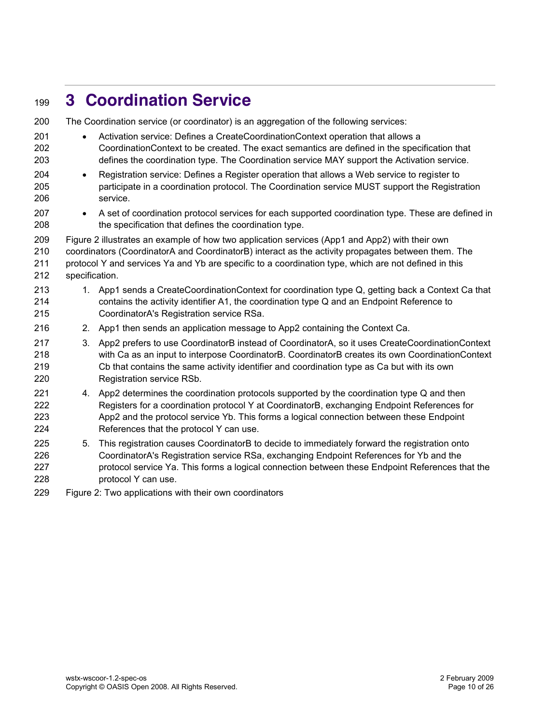# <span id="page-9-0"></span>**3 Coordination Service**

| 200        |                                                                                                | The Coordination service (or coordinator) is an aggregation of the following services:                                                                                                        |  |
|------------|------------------------------------------------------------------------------------------------|-----------------------------------------------------------------------------------------------------------------------------------------------------------------------------------------------|--|
| 201        | $\bullet$                                                                                      | Activation service: Defines a CreateCoordinationContext operation that allows a                                                                                                               |  |
| 202<br>203 |                                                                                                | CoordinationContext to be created. The exact semantics are defined in the specification that<br>defines the coordination type. The Coordination service MAY support the Activation service.   |  |
| 204        |                                                                                                |                                                                                                                                                                                               |  |
| 205        | $\bullet$                                                                                      | Registration service: Defines a Register operation that allows a Web service to register to<br>participate in a coordination protocol. The Coordination service MUST support the Registration |  |
| 206        |                                                                                                | service.                                                                                                                                                                                      |  |
| 207        | $\bullet$                                                                                      | A set of coordination protocol services for each supported coordination type. These are defined in                                                                                            |  |
| 208        |                                                                                                | the specification that defines the coordination type.                                                                                                                                         |  |
| 209        | Figure 2 illustrates an example of how two application services (App1 and App2) with their own |                                                                                                                                                                                               |  |
| 210        |                                                                                                | coordinators (CoordinatorA and CoordinatorB) interact as the activity propagates between them. The                                                                                            |  |
| 211        |                                                                                                | protocol Y and services Ya and Yb are specific to a coordination type, which are not defined in this                                                                                          |  |
| 212        | specification.                                                                                 |                                                                                                                                                                                               |  |
| 213        |                                                                                                | 1. App1 sends a CreateCoordinationContext for coordination type Q, getting back a Context Ca that                                                                                             |  |
| 214        |                                                                                                | contains the activity identifier A1, the coordination type Q and an Endpoint Reference to                                                                                                     |  |
| 215        |                                                                                                | CoordinatorA's Registration service RSa.                                                                                                                                                      |  |
| 216        |                                                                                                | 2. App1 then sends an application message to App2 containing the Context Ca.                                                                                                                  |  |
| 217        | 3 <sub>1</sub>                                                                                 | App2 prefers to use CoordinatorB instead of CoordinatorA, so it uses CreateCoordinationContext                                                                                                |  |
| 218        |                                                                                                | with Ca as an input to interpose CoordinatorB. CoordinatorB creates its own CoordinationContext                                                                                               |  |
| 219        |                                                                                                | Cb that contains the same activity identifier and coordination type as Ca but with its own                                                                                                    |  |
| 220        |                                                                                                | Registration service RSb.                                                                                                                                                                     |  |
| 221<br>222 |                                                                                                | 4. App2 determines the coordination protocols supported by the coordination type Q and then                                                                                                   |  |
| 223        |                                                                                                | Registers for a coordination protocol Y at CoordinatorB, exchanging Endpoint References for<br>App2 and the protocol service Yb. This forms a logical connection between these Endpoint       |  |
| 224        |                                                                                                | References that the protocol Y can use.                                                                                                                                                       |  |
| 225        | 5.                                                                                             | This registration causes CoordinatorB to decide to immediately forward the registration onto                                                                                                  |  |
| 226        |                                                                                                | CoordinatorA's Registration service RSa, exchanging Endpoint References for Yb and the                                                                                                        |  |
| 227        |                                                                                                | protocol service Ya. This forms a logical connection between these Endpoint References that the                                                                                               |  |
| 228        |                                                                                                | protocol Y can use.                                                                                                                                                                           |  |
| חממ        |                                                                                                | Eiguro 2: Two opplications with their own especiestro                                                                                                                                         |  |

Figure 2: Two applications with their own coordinators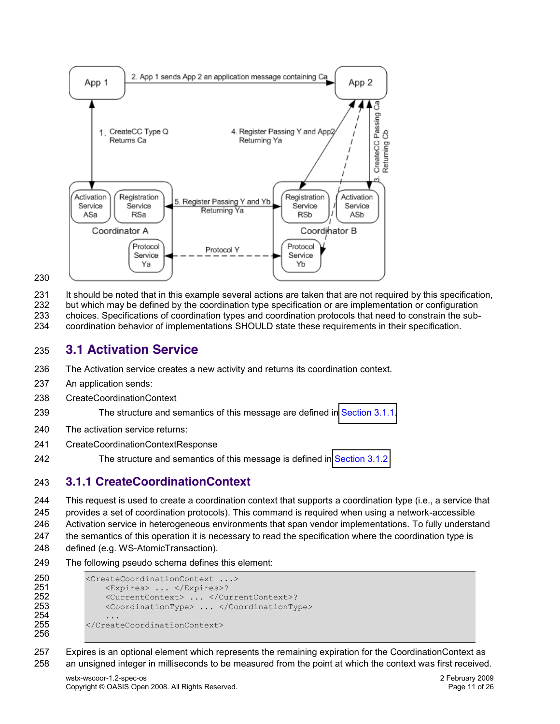

It should be noted that in this example several actions are taken that are not required by this specification,

but which may be defined by the coordination type specification or are implementation or configuration

choices. Specifications of coordination types and coordination protocols that need to constrain the sub-

coordination behavior of implementations SHOULD state these requirements in their specification.

### <span id="page-10-0"></span>**3.1 Activation Service**

- The Activation service creates a new activity and returns its coordination context.
- An application sends:
- CreateCoordinationContext

The structure and semantics of this message are defined in [Section 3.1.1.](#page-10-1)

- The activation service returns:
- CreateCoordinationContextResponse
- The structure and semantics of this message is defined in [Section 3.1.2](#page-11-0)

### <span id="page-10-1"></span>**3.1.1 CreateCoordinationContext**

 This request is used to create a coordination context that supports a coordination type (i.e., a service that provides a set of coordination protocols). This command is required when using a network-accessible Activation service in heterogeneous environments that span vendor implementations. To fully understand the semantics of this operation it is necessary to read the specification where the coordination type is defined (e.g. WS-AtomicTransaction).

The following pseudo schema defines this element:

```
250 <CreateCoordinationContext ...><br>251 <Creatives> ... </Expires>?
251 !!!!<Expires>!...!</Expires>?
252 !!!!<CurrentContext>!...!</CurrentContext>?
                <CoordinationType> ... </CoordinationType>
254<br>255
           </CreateCoordinationContext>
256
```
 Expires is an optional element which represents the remaining expiration for the CoordinationContext as an unsigned integer in milliseconds to be measured from the point at which the context was first received.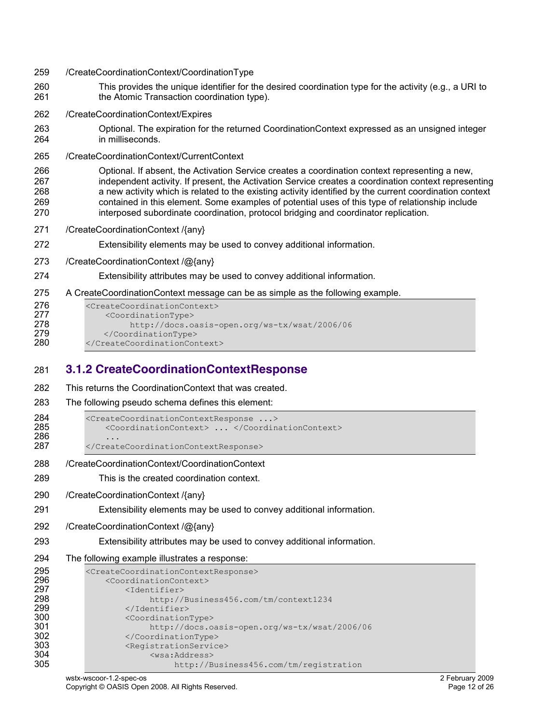- /CreateCoordinationContext/CoordinationType
- This provides the unique identifier for the desired coordination type for the activity (e.g., a URI to the Atomic Transaction coordination type).
- /CreateCoordinationContext/Expires
- Optional. The expiration for the returned CoordinationContext expressed as an unsigned integer in milliseconds.
- /CreateCoordinationContext/CurrentContext

```
266 Optional. If absent, the Activation Service creates a coordination context representing a new, 
267 independent activity. If present, the Activation Service creates a coordination context representing 
268 a new activity which is related to the existing activity identified by the current coordination context 
269 contained in this element. Some examples of potential uses of this type of relationship include 
270 interposed subordinate coordination, protocol bridging and coordinator replication.
```
- /CreateCoordinationContext /{any}
- Extensibility elements may be used to convey additional information.
- /CreateCoordinationContext /@{any}

#### Extensibility attributes may be used to convey additional information.

A CreateCoordinationContext message can be as simple as the following example.

| 276 | <createcoordinationcontext></createcoordinationcontext> |
|-----|---------------------------------------------------------|
| 277 | <coordinationtype></coordinationtype>                   |
| 278 | http://docs.oasis-open.org/ws-tx/wsat/2006/06           |
| 279 |                                                         |
| 280 |                                                         |

### <span id="page-11-0"></span>**3.1.2 CreateCoordinationContextResponse**

| 282 | This returns the Coordination Context that was created. |
|-----|---------------------------------------------------------|
| 283 | The following pseudo schema defines this element:       |

```
284 <CreateCoordinationContextResponse ...><br>285 <CoordinationContext> ... </Coordin
                  <CoordinationContext> ... </CoordinationContext>
286 ...<br>287 \creat
             </CreateCoordinationContextResponse>
```
- /CreateCoordinationContext/CoordinationContext
- This is the created coordination context.
- /CreateCoordinationContext /{any}
- Extensibility elements may be used to convey additional information.
- /CreateCoordinationContext /@{any}
- Extensibility attributes may be used to convey additional information.
- The following example illustrates a response:

```
295 <CreateCoordinationContextResponse><br>296 <CoordinationContext>
296 !!!!<CoordinationContext>
297 <Identifier><br>298 http://
298 http://Business456.com/tm/context1234<br>299 </Identifier>
299 !!!!!!!!</Identifier>
300 !!!!!!!!<CoordinationType>
301 !!!!!!!!!!!!!http://docs.oasis.open.org/ws.tx/wsat/2006/06
302 \langle/CoordinationType><br>303 <RegistrationServic
303 !!!!!!!!<RegistrationService>
304 !!!!!!!!!!!!!<wsa:Address>
                             http://Business456.com/tm/registration
```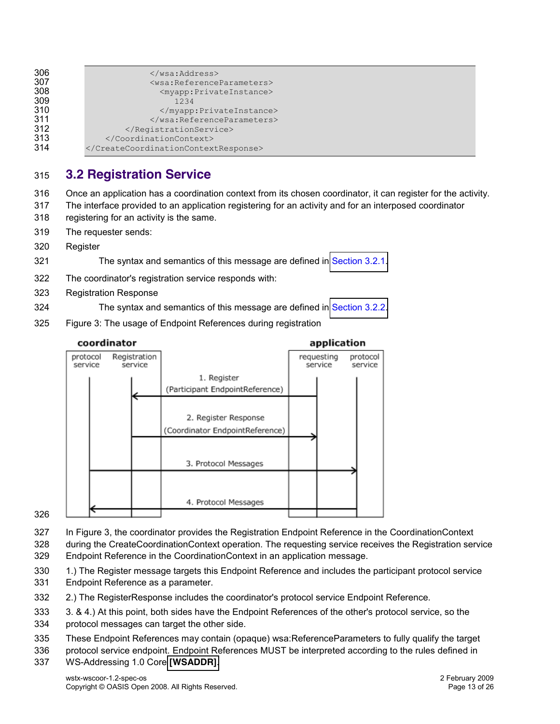| <br><wsa:referenceparameters></wsa:referenceparameters> |
|---------------------------------------------------------|
| <myapp:privateinstance></myapp:privateinstance>         |
|                                                         |
| 1234                                                    |
|                                                         |
|                                                         |
|                                                         |
|                                                         |
|                                                         |
|                                                         |

### <span id="page-12-0"></span>**3.2 Registration Service**

- Once an application has a coordination context from its chosen coordinator, it can register for the activity.
- The interface provided to an application registering for an activity and for an interposed coordinator
- registering for an activity is the same.
- The requester sends:
- Register
- The syntax and semantics of this message are defined in [Section 3.2.1.](#page-13-0)
- The coordinator's registration service responds with:
- Registration Response
- The syntax and semantics of this message are defined in [Section 3.2.2.](#page-14-0)
- Figure 3: The usage of Endpoint References during registration



In Figure 3, the coordinator provides the Registration Endpoint Reference in the CoordinationContext

 during the CreateCoordinationContext operation. The requesting service receives the Registration service Endpoint Reference in the CoordinationContext in an application message.

- 1.) The Register message targets this Endpoint Reference and includes the participant protocol service
- Endpoint Reference as a parameter.
- 2.) The RegisterResponse includes the coordinator's protocol service Endpoint Reference.
- 3. & 4.) At this point, both sides have the Endpoint References of the other's protocol service, so the
- protocol messages can target the other side.
- These Endpoint References may contain (opaque) wsa:ReferenceParameters to fully qualify the target

protocol service endpoint. Endpoint References MUST be interpreted according to the rules defined in

WS-Addressing 1.0 Core **[\[WSADDR\]](#page-7-9)**.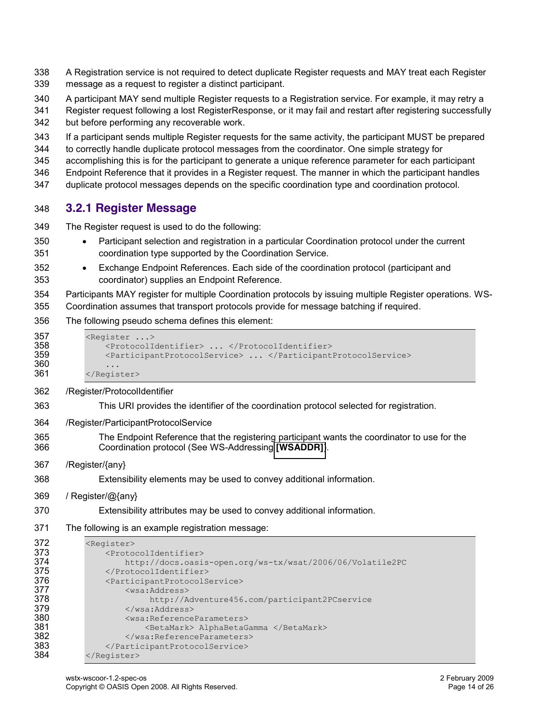- A Registration service is not required to detect duplicate Register requests and MAY treat each Register message as a request to register a distinct participant.
- A participant MAY send multiple Register requests to a Registration service. For example, it may retry a
- Register request following a lost RegisterResponse, or it may fail and restart after registering successfully but before performing any recoverable work.
- If a participant sends multiple Register requests for the same activity, the participant MUST be prepared
- to correctly handle duplicate protocol messages from the coordinator. One simple strategy for
- accomplishing this is for the participant to generate a unique reference parameter for each participant
- Endpoint Reference that it provides in a Register request. The manner in which the participant handles
- duplicate protocol messages depends on the specific coordination type and coordination protocol.

### <span id="page-13-0"></span>**3.2.1 Register Message**

- The Register request is used to do the following:
- 350 Participant selection and registration in a particular Coordination protocol under the current coordination type supported by the Coordination Service.
- 352 Exchange Endpoint References. Each side of the coordination protocol (participant and coordinator) supplies an Endpoint Reference.
- Participants MAY register for multiple Coordination protocols by issuing multiple Register operations. WS-Coordination assumes that transport protocols provide for message batching if required.
- The following pseudo schema defines this element:

```
357 <Register ...><br>358 <Protocoll
358 !!!!<ProtocolIdentifier>!...!</ProtocolIdentifier>
                359 !!!!<ParticipantProtocolService>!...!</ParticipantProtocolService>
360<br>361
            </Register>
```
- /Register/ProtocolIdentifier
- This URI provides the identifier of the coordination protocol selected for registration.
- /Register/ParticipantProtocolService
- The Endpoint Reference that the registering participant wants the coordinator to use for the Coordination protocol (See WS-Addressing **[\[WSADDR\]](#page-7-9)**).
- /Register/{any}
- Extensibility elements may be used to convey additional information.
- / Register/@{any}
- Extensibility attributes may be used to convey additional information.
- The following is an example registration message:

```
372 <Register><br>373 <Register>
373 !!!!<ProtocolIdentifier>
374 http://docs.oasis-open.org/ws-tx/wsat/2006/06/Volatile2PC<br>375 </ProtocolIdentifier>
             </ProtocolIdentifier>
376 !!!!<ParticipantProtocolService>
377 !!!!!!!!<wsa:Address>!
378 !!!!!!!!!!!!!http://Adventure456.com/participant2PCservice
379 !!!!!!!!</wsa:Address>
380 !!!!!!!!<wsa:ReferenceParameters>
                     <BetaMark> AlphaBetaGamma </BetaMark>
382 !!!!!!!!</wsa:ReferenceParameters>
383 !!!!</ParticipantProtocolService>
          </Register>
```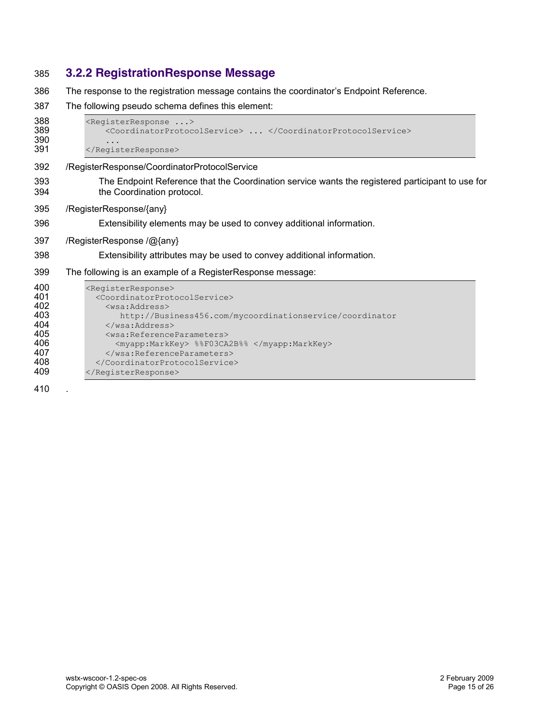### <span id="page-14-0"></span>**3.2.2 RegistrationResponse Message**

- 386 The response to the registration message contains the coordinator's Endpoint Reference.
- The following pseudo schema defines this element:

```
388 <RegisterResponse ...><br>389 <coordinatorProtoc
                  389 !!!!<CoordinatorProtocolService>!...!</CoordinatorProtocolService>
390 ...<br>391 </Regis
```
- </RegisterResponse>
- /RegisterResponse/CoordinatorProtocolService
- The Endpoint Reference that the Coordination service wants the registered participant to use for the Coordination protocol.
- /RegisterResponse/{any}
- Extensibility elements may be used to convey additional information.
- /RegisterResponse /@{any}
- Extensibility attributes may be used to convey additional information.
- The following is an example of a RegisterResponse message:

| 400 | <registerresponse></registerresponse>                     |
|-----|-----------------------------------------------------------|
| 401 | <coordinatorprotocolservice></coordinatorprotocolservice> |
| 402 | <wsa:address></wsa:address>                               |
| 403 | http://Business456.com/mycoordinationservice/coordinator  |
| 404 | $\langle$ /wsa:Address>                                   |
| 405 | <wsa:referenceparameters></wsa:referenceparameters>       |
| 406 | <myapp:markkey> %%F03CA2B%% </myapp:markkey>              |
| 407 |                                                           |
| 408 |                                                           |
| 409 |                                                           |
|     |                                                           |

.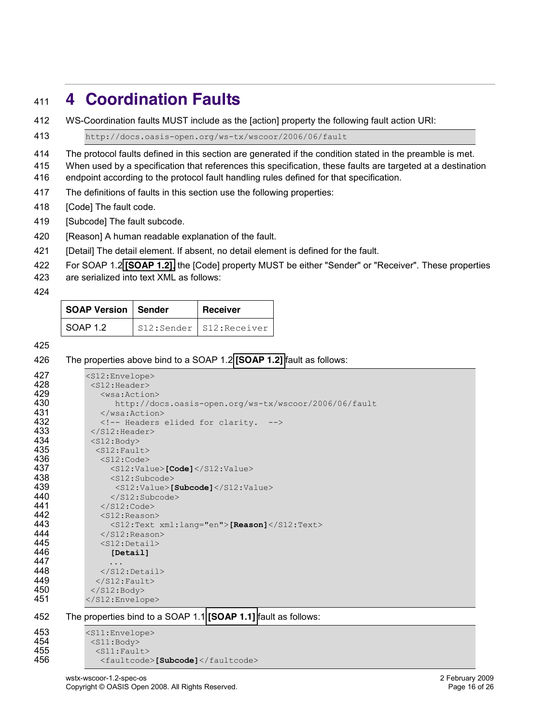# <span id="page-15-0"></span>**4 Coordination Faults**

WS-Coordination faults MUST include as the [action] property the following fault action URI:

413 http://docs.oasis-open.org/ws-tx/wscoor/2006/06/fault

The protocol faults defined in this section are generated if the condition stated in the preamble is met.

When used by a specification that references this specification, these faults are targeted at a destination

endpoint according to the protocol fault handling rules defined for that specification.

The definitions of faults in this section use the following properties:

[Code] The fault code.

[Subcode] The fault subcode.

420 [Reason] A human readable explanation of the fault.

- [Detail] The detail element. If absent, no detail element is defined for the fault.
- For SOAP 1.2 **[\[SOAP 1.2\]](#page-7-1)**, the [Code] property MUST be either "Sender" or "Receiver". These properties

are serialized into text XML as follows:

| <b>SOAP Version   Sender</b> | <b>Receiver</b>         |
|------------------------------|-------------------------|
| SOAP 1.2                     | S12:Sender S12:Receiver |

#### The properties above bind to a SOAP 1.2 **[\[SOAP 1.2\]](#page-7-1)** fault as follows:

| 427 | <s12:envelope></s12:envelope>                                  |
|-----|----------------------------------------------------------------|
| 428 | $<$ S12:Header>                                                |
| 429 | $<$ wsa: Action $>$                                            |
| 430 | http://docs.oasis-open.org/ws-tx/wscoor/2006/06/fault          |
| 431 | $\langle$ /wsa:Action>                                         |
| 432 | Headers elided for clarity.                                    |
| 433 | $\langle$ /S12:Header>                                         |
| 434 | $<$ S12:Body>                                                  |
| 435 | $<$ S12: Fault>                                                |
| 436 | $<$ S12:Code>                                                  |
| 437 | $<$ S12:Value>[Code] $<$ /S12:Value>                           |
| 438 | $<$ S12:Subcode>                                               |
| 439 | $<$ S12:Value>[Subcode] $<$ /S12:Value>                        |
| 440 | $\langle$ /S12:Subcode>                                        |
| 441 | $\langle$ /S12:Code>                                           |
| 442 | $<$ S12: Reason>                                               |
| 443 | $<$ S12:Text xml:lang="en">[Reason] $<$ /S12:Text>             |
| 444 | $\langle$ /S12:Reason>                                         |
| 445 | $<$ S12:Detail>                                                |
| 446 | [Detail]                                                       |
| 447 |                                                                |
| 448 | $\langle$ /S12:Detail>                                         |
| 449 | $\langle$ /S12: Fault>                                         |
| 450 | $\langle$ /S12:Body>                                           |
| 451 | $\langle$ /S12:Envelope>                                       |
| 452 | The properties bind to a SOAP 1.1 [SOAP 1.1] fault as follows: |
|     |                                                                |
| 453 | $(211 \cdot \text{First} )$                                    |

453 <s11:Envelope> <S11:Body> !!<S11:Fault> !!!<faultcode>**[Subcode]**</faultcode>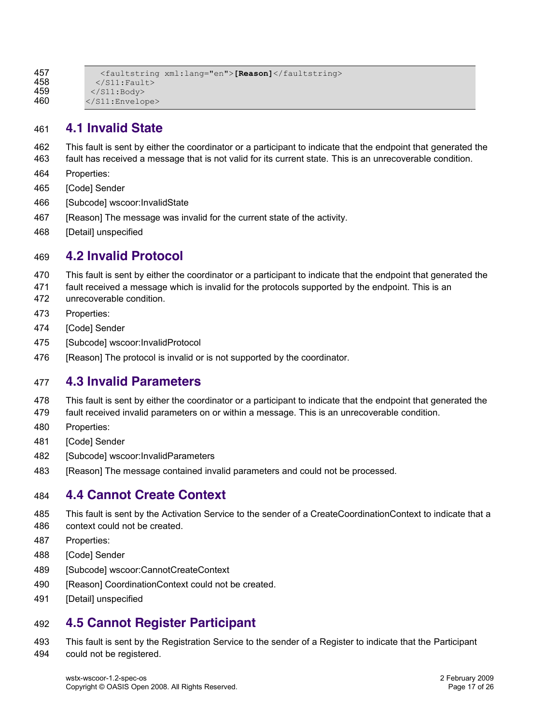```
457 !!!<faultstring!xml:lang="en">[Reason]</faultstring>
458 \langle/S11:Fault><br>459 \langle/S11:Body>
459 </S11:Body><br>460 </S11:Envelo
             460 </S11:Envelope>
```
### <span id="page-16-0"></span>**4.1 Invalid State**

- This fault is sent by either the coordinator or a participant to indicate that the endpoint that generated the
- fault has received a message that is not valid for its current state. This is an unrecoverable condition.
- Properties:
- [Code] Sender
- [Subcode] wscoor:InvalidState
- 467 [Reason] The message was invalid for the current state of the activity.
- [Detail] unspecified

### <span id="page-16-1"></span>**4.2 Invalid Protocol**

- This fault is sent by either the coordinator or a participant to indicate that the endpoint that generated the
- fault received a message which is invalid for the protocols supported by the endpoint. This is an
- unrecoverable condition.
- Properties:
- [Code] Sender
- [Subcode] wscoor:InvalidProtocol
- 476 [Reason] The protocol is invalid or is not supported by the coordinator.

### <span id="page-16-2"></span>**4.3 Invalid Parameters**

- This fault is sent by either the coordinator or a participant to indicate that the endpoint that generated the
- fault received invalid parameters on or within a message. This is an unrecoverable condition.
- Properties:
- [Code] Sender
- [Subcode] wscoor:InvalidParameters
- [Reason] The message contained invalid parameters and could not be processed.

### <span id="page-16-3"></span>**4.4 Cannot Create Context**

- This fault is sent by the Activation Service to the sender of a CreateCoordinationContext to indicate that a
- context could not be created.
- Properties:
- [Code] Sender
- 489 [Subcode] wscoor:CannotCreateContext
- 490 [Reason] CoordinationContext could not be created.
- [Detail] unspecified

### <span id="page-16-4"></span>**4.5 Cannot Register Participant**

 This fault is sent by the Registration Service to the sender of a Register to indicate that the Participant could not be registered.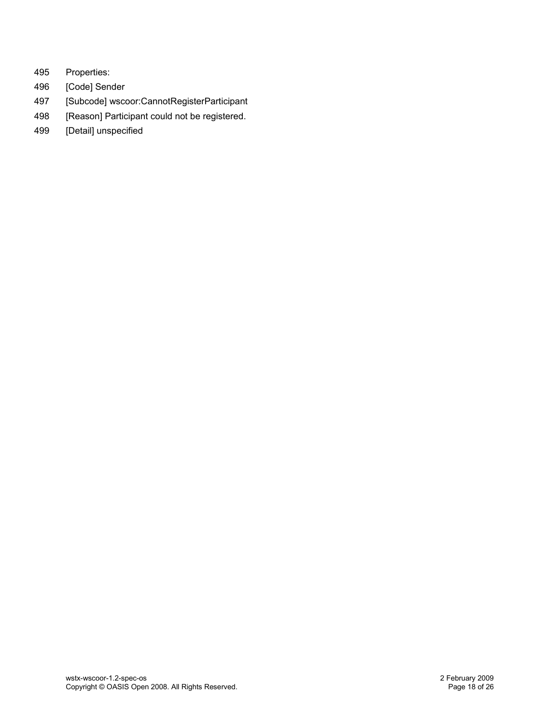- 495 Properties:
- 496 [Code] Sender
- 497 [Subcode] wscoor:CannotRegisterParticipant
- 498 [Reason] Participant could not be registered.
- 499 [Detail] unspecified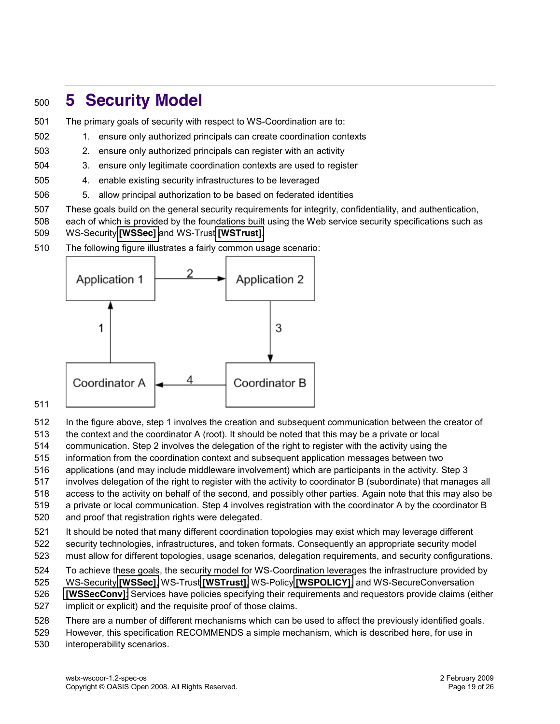# <span id="page-18-0"></span>**5 Security Model**

- The primary goals of security with respect to WS-Coordination are to:
- 1. ensure only authorized principals can create coordination contexts
- 2. ensure only authorized principals can register with an activity
- 3. ensure only legitimate coordination contexts are used to register
- 4. enable existing security infrastructures to be leveraged
- 5. allow principal authorization to be based on federated identities
- These goals build on the general security requirements for integrity, confidentiality, and authentication,

 each of which is provided by the foundations built using the Web service security specifications such as WS-Security **[\[WSSec\]](#page-7-10)** and WS-Trust **[\[WSTrust\]](#page-7-11)**.

The following figure illustrates a fairly common usage scenario:



#### 

- In the figure above, step 1 involves the creation and subsequent communication between the creator of
- the context and the coordinator A (root). It should be noted that this may be a private or local
- communication. Step 2 involves the delegation of the right to register with the activity using the
- information from the coordination context and subsequent application messages between two
- applications (and may include middleware involvement) which are participants in the activity. Step 3
- involves delegation of the right to register with the activity to coordinator B (subordinate) that manages all

access to the activity on behalf of the second, and possibly other parties. Again note that this may also be

- a private or local communication. Step 4 involves registration with the coordinator A by the coordinator B
- and proof that registration rights were delegated.
- It should be noted that many different coordination topologies may exist which may leverage different security technologies, infrastructures, and token formats. Consequently an appropriate security model
- must allow for different topologies, usage scenarios, delegation requirements, and security configurations.
- To achieve these goals, the security model for WS-Coordination leverages the infrastructure provided by
- WS-Security **[\[WSSec\]](#page-7-10)**, WS-Trust **[\[WSTrust\]](#page-7-11)**, WS-Policy **[\[WSPOLICY\]](#page-7-12)**, and WS-SecureConversation
- **[\[WSSecConv\]](#page-7-13)**: Services have policies specifying their requirements and requestors provide claims (either
- implicit or explicit) and the requisite proof of those claims.
- There are a number of different mechanisms which can be used to affect the previously identified goals.
- However, this specification RECOMMENDS a simple mechanism, which is described here, for use in
- interoperability scenarios.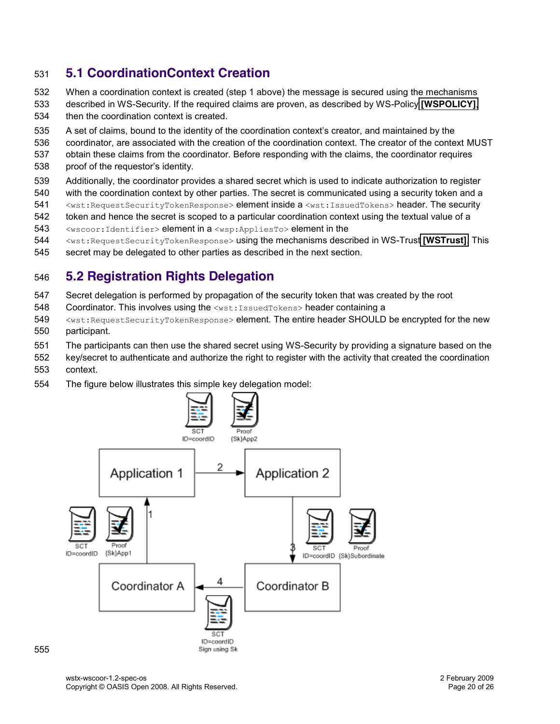### <span id="page-19-0"></span>**5.1 CoordinationContext Creation**

- When a coordination context is created (step 1 above) the message is secured using the mechanisms
- described in WS-Security. If the required claims are proven, as described by WS-Policy **[\[WSPOLICY\]](#page-7-12)**, then the coordination context is created.
- 535 A set of claims, bound to the identity of the coordination context's creator, and maintained by the
- coordinator, are associated with the creation of the coordination context. The creator of the context MUST
- obtain these claims from the coordinator. Before responding with the claims, the coordinator requires 538 proof of the requestor's identity.
- Additionally, the coordinator provides a shared secret which is used to indicate authorization to register
- with the coordination context by other parties. The secret is communicated using a security token and a
- 541 <wst:RequestSecurityTokenResponse> element inside a <wst:IssuedTokens> header. The security
- token and hence the secret is scoped to a particular coordination context using the textual value of a
- <wscoor:Identifier> element in a <wsp:AppliesTo> element in the
- <wst:RequestSecurityTokenResponse> using the mechanisms described in WS-Trust **[\[WSTrust\]](#page-7-11)**. This
- secret may be delegated to other parties as described in the next section.

### <span id="page-19-1"></span>**5.2 Registration Rights Delegation**

- Secret delegation is performed by propagation of the security token that was created by the root
- Coordinator. This involves using the <wst:IssuedTokens> header containing a
- 549 <wst:RequestSecurityTokenResponse> element. The entire header SHOULD be encrypted for the new participant.
- The participants can then use the shared secret using WS-Security by providing a signature based on the
- key/secret to authenticate and authorize the right to register with the activity that created the coordination context.
- The figure below illustrates this simple key delegation model:

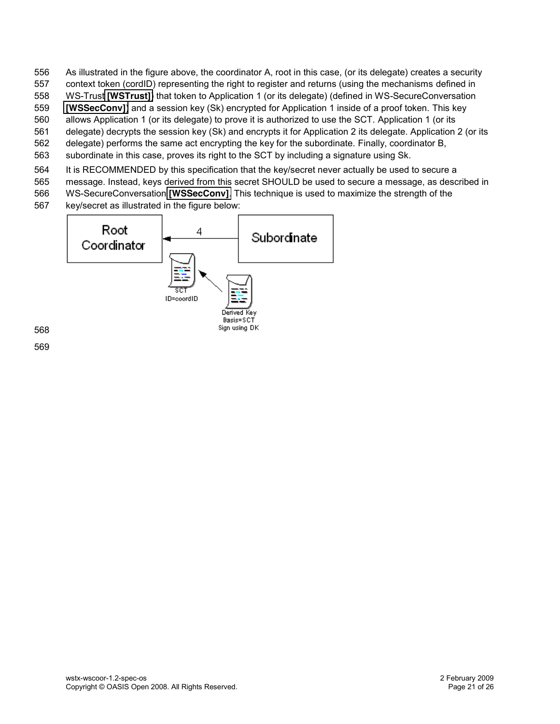- As illustrated in the figure above, the coordinator A, root in this case, (or its delegate) creates a security
- context token (cordID) representing the right to register and returns (using the mechanisms defined in
- WS-Trust **[\[WSTrust\]](#page-7-11)**) that token to Application 1 (or its delegate) (defined in WS-SecureConversation
- **[\[WSSecConv\]](#page-7-13)**) and a session key (Sk) encrypted for Application 1 inside of a proof token. This key allows Application 1 (or its delegate) to prove it is authorized to use the SCT. Application 1 (or its
- delegate) decrypts the session key (Sk) and encrypts it for Application 2 its delegate. Application 2 (or its
- delegate) performs the same act encrypting the key for the subordinate. Finally, coordinator B,
- subordinate in this case, proves its right to the SCT by including a signature using Sk.
- It is RECOMMENDED by this specification that the key/secret never actually be used to secure a
- message. Instead, keys derived from this secret SHOULD be used to secure a message, as described in
- WS-SecureConversation **[\[WSSecConv\]](#page-7-13)**. This technique is used to maximize the strength of the
- key/secret as illustrated in the figure below:

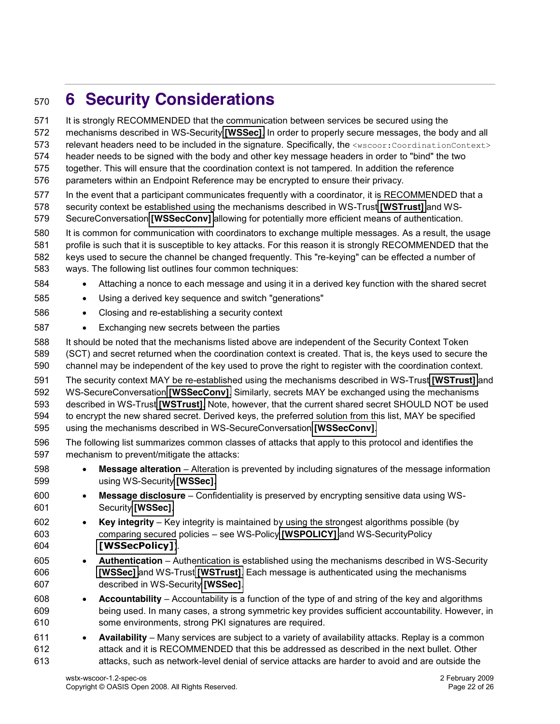# <span id="page-21-0"></span>**6 Security Considerations**

wstx-wscoor-1.2-spec-os 2 February 2009 It is strongly RECOMMENDED that the communication between services be secured using the mechanisms described in WS-Security **[\[WSSec\]](#page-7-10)**. In order to properly secure messages, the body and all 573 relevant headers need to be included in the signature. Specifically, the <wscoor:CoordinationContext> header needs to be signed with the body and other key message headers in order to "bind" the two together. This will ensure that the coordination context is not tampered. In addition the reference parameters within an Endpoint Reference may be encrypted to ensure their privacy. In the event that a participant communicates frequently with a coordinator, it is RECOMMENDED that a security context be established using the mechanisms described in WS-Trust **[\[WSTrust\]](#page-7-11)** and WS- SecureConversation **[\[WSSecConv\]](#page-7-13)** allowing for potentially more efficient means of authentication. It is common for communication with coordinators to exchange multiple messages. As a result, the usage profile is such that it is susceptible to key attacks. For this reason it is strongly RECOMMENDED that the keys used to secure the channel be changed frequently. This "re-keying" can be effected a number of ways. The following list outlines four common techniques: 584 • Attaching a nonce to each message and using it in a derived key function with the shared secret 585 • Using a derived key sequence and switch "generations" 586 · Closing and re-establishing a security context 587 • Exchanging new secrets between the parties It should be noted that the mechanisms listed above are independent of the Security Context Token (SCT) and secret returned when the coordination context is created. That is, the keys used to secure the channel may be independent of the key used to prove the right to register with the coordination context. The security context MAY be re-established using the mechanisms described in WS-Trust **[\[WSTrust\]](#page-7-11)** and WS-SecureConversation **[\[WSSecConv\]](#page-7-13)**. Similarly, secrets MAY be exchanged using the mechanisms described in WS-Trust **[\[WSTrust\]](#page-7-11)**. Note, however, that the current shared secret SHOULD NOT be used to encrypt the new shared secret. Derived keys, the preferred solution from this list, MAY be specified using the mechanisms described in WS-SecureConversation **[\[WSSecConv\]](#page-7-13)**. The following list summarizes common classes of attacks that apply to this protocol and identifies the mechanism to prevent/mitigate the attacks: **b Message alteration** – Alteration is prevented by including signatures of the message information using WS-Security **[\[WSSec\]](#page-7-10)**. **• Message disclosure**  $-$  Confidentiality is preserved by encrypting sensitive data using WS- Security **[\[WSSec\]](#page-7-10)**. **Example 30 Key integrity**  $-$  Key integrity is maintained by using the strongest algorithms possible (by comparing secured policies ± see WS-Policy **[\[WSPOLICY\]](#page-7-12)** and WS-SecurityPolicy **[\[WSSecPolicy\]](#page-7-14)**). **4uthentication** - Authentication is established using the mechanisms described in WS-Security **[\[WSSec\]](#page-7-10)** and WS-Trust **[\[WSTrust\]](#page-7-11)**. Each message is authenticated using the mechanisms described in WS-Security **[\[WSSec\]](#page-7-10)**. **• Accountability** – Accountability is a function of the type of and string of the key and algorithms being used. In many cases, a strong symmetric key provides sufficient accountability. However, in some environments, strong PKI signatures are required. **• Availability** – Many services are subject to a variety of availability attacks. Replay is a common attack and it is RECOMMENDED that this be addressed as described in the next bullet. Other attacks, such as network-level denial of service attacks are harder to avoid and are outside the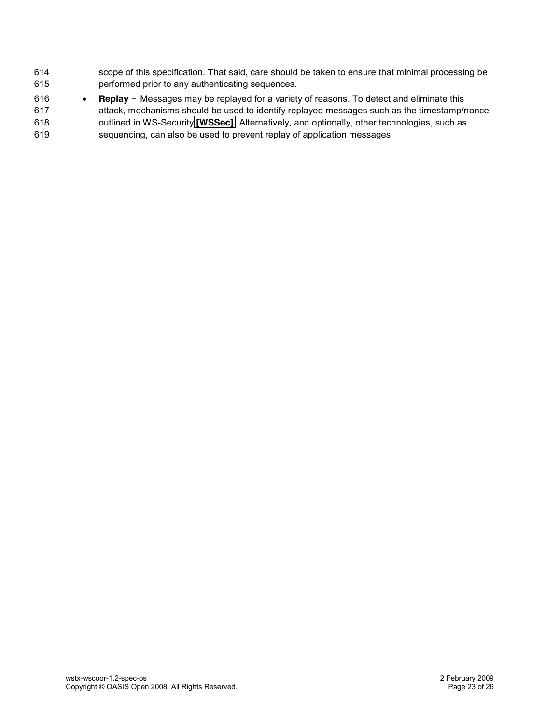- scope of this specification. That said, care should be taken to ensure that minimal processing be performed prior to any authenticating sequences.
- 616 Replay Messages may be replayed for a variety of reasons. To detect and eliminate this attack, mechanisms should be used to identify replayed messages such as the timestamp/nonce outlined in WS-Security **[\[WSSec\]](#page-7-10)**. Alternatively, and optionally, other technologies, such as sequencing, can also be used to prevent replay of application messages.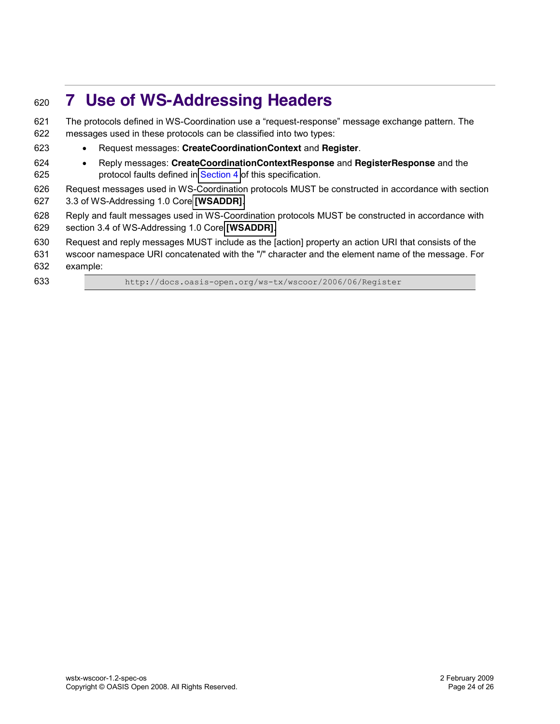# <span id="page-23-0"></span>**7 Use of WS-Addressing Headers**

621 The protocols defined in WS-Coordination use a "request-response" message exchange pattern. The messages used in these protocols can be classified into two types: x Request messages: **CreateCoordinationContext** and **Register**. x Reply messages: **CreateCoordinationContextResponse** and **RegisterResponse** and the **protocol faults defined in [Section 4](#page-15-0) of this specification.**  Request messages used in WS-Coordination protocols MUST be constructed in accordance with section 3.3 of WS-Addressing 1.0 Core **[\[WSADDR\]](#page-7-9)**. Reply and fault messages used in WS-Coordination protocols MUST be constructed in accordance with section 3.4 of WS-Addressing 1.0 Core **[\[WSADDR\]](#page-7-9)**. Request and reply messages MUST include as the [action] property an action URI that consists of the wscoor namespace URI concatenated with the "/" character and the element name of the message. For example: 633 http://docs.oasis-open.org/ws-tx/wscoor/2006/06/Register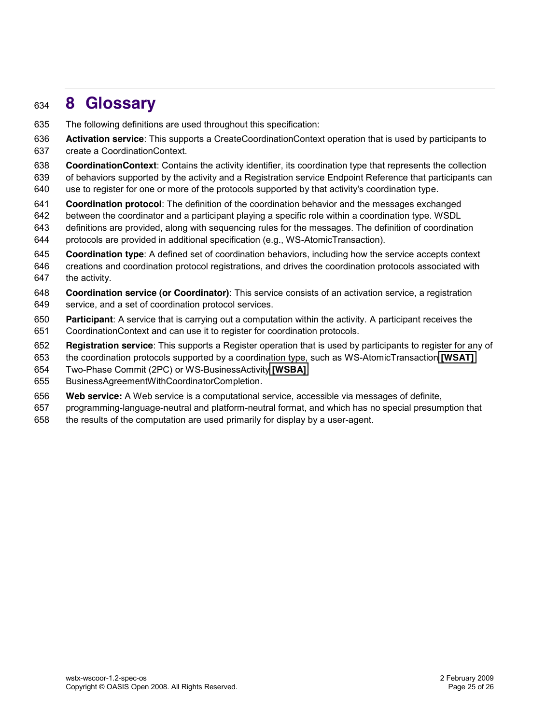# <span id="page-24-0"></span>**8 Glossary**

- The following definitions are used throughout this specification:
- **Activation service**: This supports a CreateCoordinationContext operation that is used by participants to create a CoordinationContext.
- **CoordinationContext**: Contains the activity identifier, its coordination type that represents the collection
- of behaviors supported by the activity and a Registration service Endpoint Reference that participants can
- use to register for one or more of the protocols supported by that activity's coordination type.
- **Coordination protocol**: The definition of the coordination behavior and the messages exchanged
- between the coordinator and a participant playing a specific role within a coordination type. WSDL
- definitions are provided, along with sequencing rules for the messages. The definition of coordination protocols are provided in additional specification (e.g., WS-AtomicTransaction).
- **Coordination type**: A defined set of coordination behaviors, including how the service accepts context
- creations and coordination protocol registrations, and drives the coordination protocols associated with the activity.
- **Coordination service (or Coordinator)**: This service consists of an activation service, a registration service, and a set of coordination protocol services.
- **Participant**: A service that is carrying out a computation within the activity. A participant receives the CoordinationContext and can use it to register for coordination protocols.
- **Registration service**: This supports a Register operation that is used by participants to register for any of
- the coordination protocols supported by a coordination type, such as WS-AtomicTransaction **[\[WSAT\]](#page-7-3)**
- Two-Phase Commit (2PC) or WS-BusinessActivity **[\[WSBA\]](#page-7-4)**
- BusinessAgreementWithCoordinatorCompletion.
- **Web service:** A Web service is a computational service, accessible via messages of definite,
- programming-language-neutral and platform-neutral format, and which has no special presumption that
- the results of the computation are used primarily for display by a user-agent.